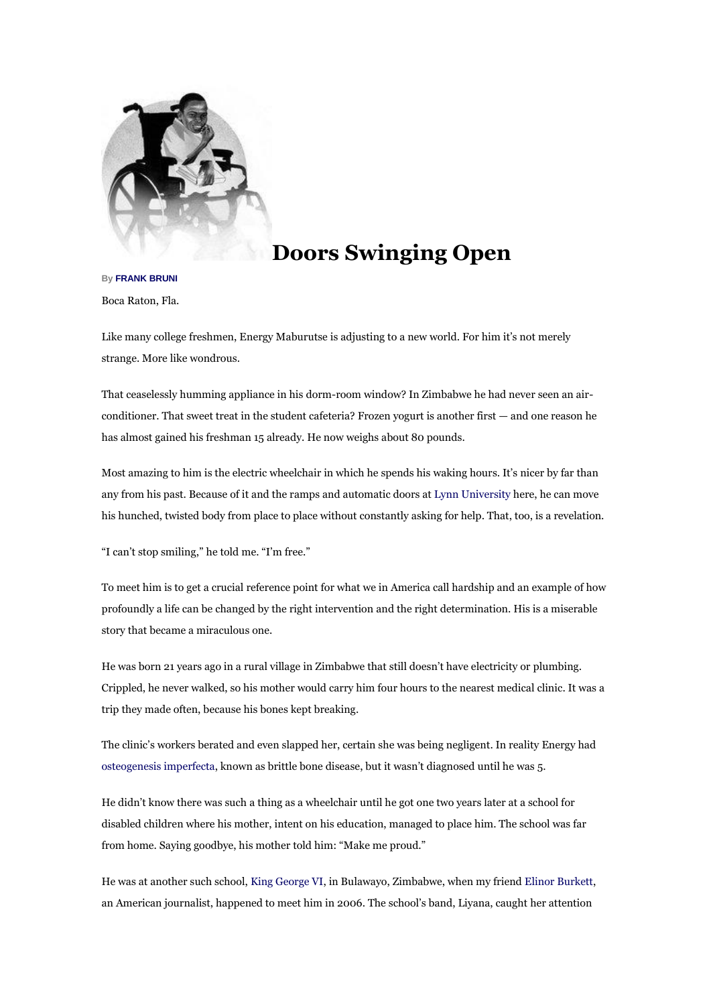

## **[D](javascript:pop_me_up2()oors Swinging Open**

## **B[y FRANK BRUNI](http://topics.nytimes.com/top/reference/timestopics/people/b/frank_bruni/index.html?inline=nyt-per)**

Boca Raton, Fla.

Like many college freshmen, Energy Maburutse is adjusting to a new world. For him it's not merely strange. More like wondrous.

That ceaselessly humming appliance in his dorm-room window? In Zimbabwe he had never seen an airconditioner. That sweet treat in the student cafeteria? Frozen yogurt is another first — and one reason he has almost gained his freshman 15 already. He now weighs about 80 pounds.

Most amazing to him is the electric wheelchair in which he spends his waking hours. It's nicer by far than any from his past. Because of it and the ramps and automatic doors at [Lynn University](http://www.lynn.edu/) here, he can move his hunched, twisted body from place to place without constantly asking for help. That, too, is a revelation.

"I can't stop smiling," he told me. "I'm free."

To meet him is to get a crucial reference point for what we in America call hardship and an example of how profoundly a life can be changed by the right intervention and the right determination. His is a miserable story that became a miraculous one.

He was born 21 years ago in a rural village in Zimbabwe that still doesn't have electricity or plumbing. Crippled, he never walked, so his mother would carry him four hours to the nearest medical clinic. It was a trip they made often, because his bones kept breaking.

The clinic's workers berated and even slapped her, certain she was being negligent. In reality Energy had [osteogenesis imperfecta,](http://www.oif.org/site/PageServer) known as brittle bone disease, but it wasn't diagnosed until he was 5.

He didn't know there was such a thing as a wheelchair until he got one two years later at a school for disabled children where his mother, intent on his education, managed to place him. The school was far from home. Saying goodbye, his mother told him: "Make me proud."

He was at another such school, [King George VI,](http://www.kinggeorge6.org/) in Bulawayo, Zimbabwe, when my frien[d Elinor Burkett,](http://loliandrex.com/) an American journalist, happened to meet him in 2006. The school's band, Liyana, caught her attention